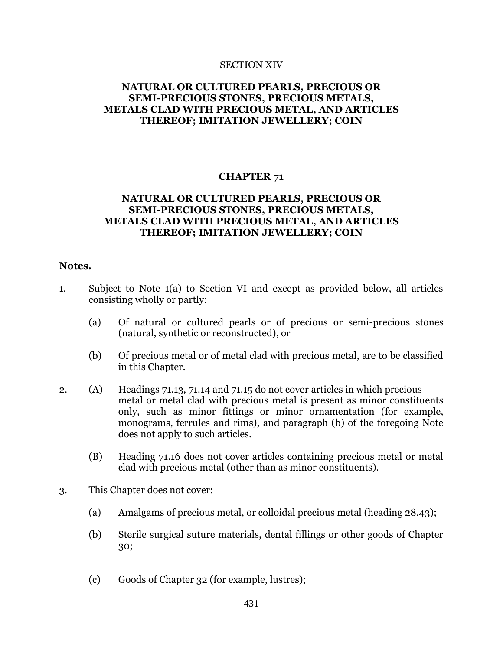#### SECTION XIV

# **NATURAL OR CULTURED PEARLS, PRECIOUS OR SEMI-PRECIOUS STONES, PRECIOUS METALS, METALS CLAD WITH PRECIOUS METAL, AND ARTICLES THEREOF; IMITATION JEWELLERY; COIN**

### **CHAPTER 71**

# **NATURAL OR CULTURED PEARLS, PRECIOUS OR SEMI-PRECIOUS STONES, PRECIOUS METALS, METALS CLAD WITH PRECIOUS METAL, AND ARTICLES THEREOF; IMITATION JEWELLERY; COIN**

#### **Notes.**

- 1. Subject to Note 1(a) to Section VI and except as provided below, all articles consisting wholly or partly:
	- (a) Of natural or cultured pearls or of precious or semi-precious stones (natural, synthetic or reconstructed), or
	- (b) Of precious metal or of metal clad with precious metal, are to be classified in this Chapter.
- 2. (A) Headings 71.13, 71.14 and 71.15 do not cover articles in which precious metal or metal clad with precious metal is present as minor constituents only, such as minor fittings or minor ornamentation (for example, monograms, ferrules and rims), and paragraph (b) of the foregoing Note does not apply to such articles.
	- (B) Heading 71.16 does not cover articles containing precious metal or metal clad with precious metal (other than as minor constituents).
- 3. This Chapter does not cover:
	- (a) Amalgams of precious metal, or colloidal precious metal (heading 28.43);
	- (b) Sterile surgical suture materials, dental fillings or other goods of Chapter 30;
	- (c) Goods of Chapter 32 (for example, lustres);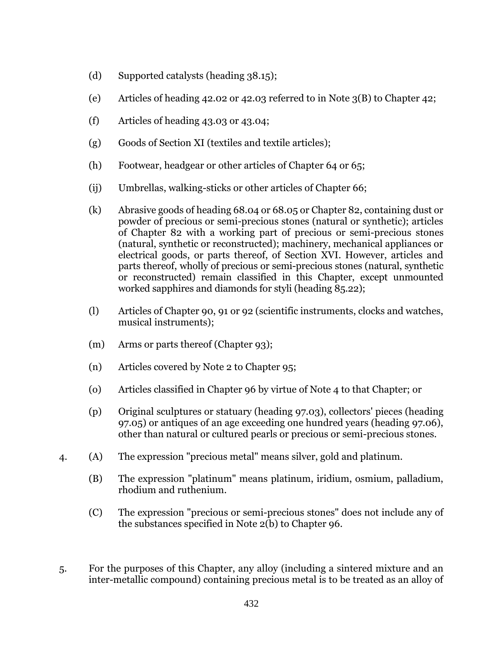- (d) Supported catalysts (heading 38.15);
- (e) Articles of heading 42.02 or 42.03 referred to in Note 3(B) to Chapter 42;
- (f) Articles of heading 43.03 or 43.04;
- (g) Goods of Section XI (textiles and textile articles);
- (h) Footwear, headgear or other articles of Chapter 64 or 65;
- (ij) Umbrellas, walking-sticks or other articles of Chapter 66;
- (k) Abrasive goods of heading 68.04 or 68.05 or Chapter 82, containing dust or powder of precious or semi-precious stones (natural or synthetic); articles of Chapter 82 with a working part of precious or semi-precious stones (natural, synthetic or reconstructed); machinery, mechanical appliances or electrical goods, or parts thereof, of Section XVI. However, articles and parts thereof, wholly of precious or semi-precious stones (natural, synthetic or reconstructed) remain classified in this Chapter, except unmounted worked sapphires and diamonds for styli (heading 85.22);
- (l) Articles of Chapter 90, 91 or 92 (scientific instruments, clocks and watches, musical instruments);
- (m) Arms or parts thereof (Chapter 93);
- (n) Articles covered by Note 2 to Chapter 95;
- (o) Articles classified in Chapter 96 by virtue of Note 4 to that Chapter; or
- (p) Original sculptures or statuary (heading 97.03), collectors' pieces (heading 97.05) or antiques of an age exceeding one hundred years (heading 97.06), other than natural or cultured pearls or precious or semi-precious stones.
- 4. (A) The expression "precious metal" means silver, gold and platinum.
	- (B) The expression "platinum" means platinum, iridium, osmium, palladium, rhodium and ruthenium.
	- (C) The expression "precious or semi-precious stones" does not include any of the substances specified in Note 2(b) to Chapter 96.
- 5. For the purposes of this Chapter, any alloy (including a sintered mixture and an inter-metallic compound) containing precious metal is to be treated as an alloy of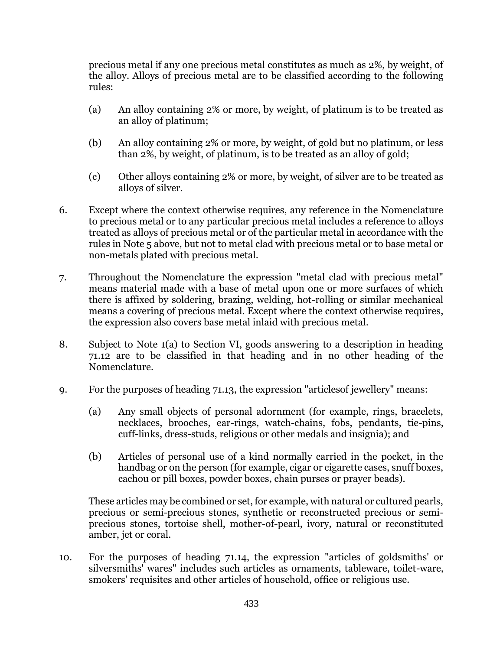precious metal if any one precious metal constitutes as much as 2%, by weight, of the alloy. Alloys of precious metal are to be classified according to the following rules:

- (a) An alloy containing 2% or more, by weight, of platinum is to be treated as an alloy of platinum;
- (b) An alloy containing 2% or more, by weight, of gold but no platinum, or less than 2%, by weight, of platinum, is to be treated as an alloy of gold;
- (c) Other alloys containing 2% or more, by weight, of silver are to be treated as alloys of silver.
- 6. Except where the context otherwise requires, any reference in the Nomenclature to precious metal or to any particular precious metal includes a reference to alloys treated as alloys of precious metal or of the particular metal in accordance with the rules in Note 5 above, but not to metal clad with precious metal or to base metal or non-metals plated with precious metal.
- 7. Throughout the Nomenclature the expression "metal clad with precious metal" means material made with a base of metal upon one or more surfaces of which there is affixed by soldering, brazing, welding, hot-rolling or similar mechanical means a covering of precious metal. Except where the context otherwise requires, the expression also covers base metal inlaid with precious metal.
- 8. Subject to Note 1(a) to Section VI, goods answering to a description in heading 71.12 are to be classified in that heading and in no other heading of the Nomenclature.
- 9. For the purposes of heading 71.13, the expression "articlesof jewellery" means:
	- (a) Any small objects of personal adornment (for example, rings, bracelets, necklaces, brooches, ear-rings, watch-chains, fobs, pendants, tie-pins, cuff-links, dress-studs, religious or other medals and insignia); and
	- (b) Articles of personal use of a kind normally carried in the pocket, in the handbag or on the person (for example, cigar or cigarette cases, snuff boxes, cachou or pill boxes, powder boxes, chain purses or prayer beads).

These articles may be combined or set, for example, with natural or cultured pearls, precious or semi-precious stones, synthetic or reconstructed precious or semiprecious stones, tortoise shell, mother-of-pearl, ivory, natural or reconstituted amber, jet or coral.

10. For the purposes of heading 71.14, the expression "articles of goldsmiths' or silversmiths' wares" includes such articles as ornaments, tableware, toilet-ware, smokers' requisites and other articles of household, office or religious use.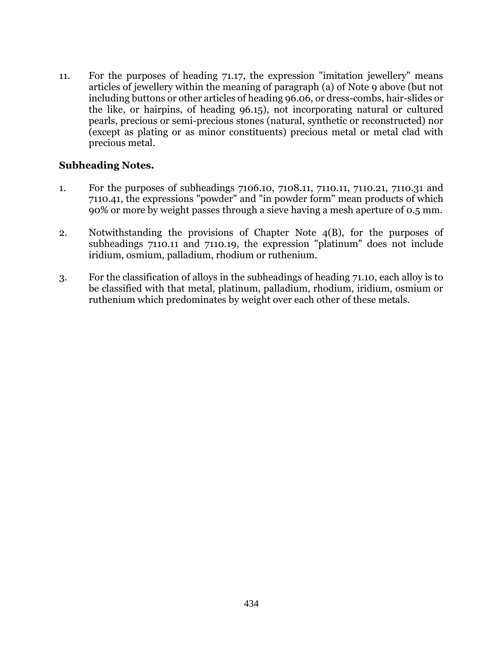11. For the purposes of heading 71.17, the expression "imitation jewellery" means articles of jewellery within the meaning of paragraph (a) of Note 9 above (but not including buttons or other articles of heading 96.06, or dress-combs, hair-slides or the like, or hairpins, of heading 96.15), not incorporating natural or cultured pearls, precious or semi-precious stones (natural, synthetic or reconstructed) nor (except as plating or as minor constituents) precious metal or metal clad with precious metal.

# **Subheading Notes.**

- 1. For the purposes of subheadings 7106.10, 7108.11, 7110.11, 7110.21, 7110.31 and 7110.41, the expressions "powder" and "in powder form" mean products of which 90% or more by weight passes through a sieve having a mesh aperture of 0.5 mm.
- 2. Notwithstanding the provisions of Chapter Note 4(B), for the purposes of subheadings 7110.11 and 7110.19, the expression "platinum" does not include iridium, osmium, palladium, rhodium or ruthenium.
- 3. For the classification of alloys in the subheadings of heading 71.10, each alloy is to be classified with that metal, platinum, palladium, rhodium, iridium, osmium or ruthenium which predominates by weight over each other of these metals.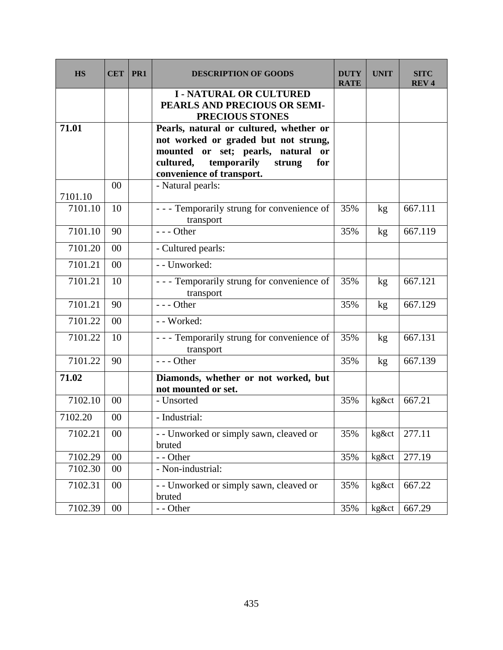| <b>HS</b> | <b>CET</b> | PR <sub>1</sub> | <b>DESCRIPTION OF GOODS</b>                                                                                                                                                                               | DUTY<br><b>RATE</b> | <b>UNIT</b> | <b>SITC</b><br><b>REV4</b> |
|-----------|------------|-----------------|-----------------------------------------------------------------------------------------------------------------------------------------------------------------------------------------------------------|---------------------|-------------|----------------------------|
|           |            |                 | <b>I - NATURAL OR CULTURED</b><br>PEARLS AND PRECIOUS OR SEMI-<br>PRECIOUS STONES                                                                                                                         |                     |             |                            |
| 71.01     |            |                 | Pearls, natural or cultured, whether or<br>not worked or graded but not strung,<br>mounted or set; pearls, natural<br><b>or</b><br>temporarily<br>cultured,<br>for<br>strung<br>convenience of transport. |                     |             |                            |
| 7101.10   | 00         |                 | - Natural pearls:                                                                                                                                                                                         |                     |             |                            |
| 7101.10   | 10         |                 | - - - Temporarily strung for convenience of<br>transport                                                                                                                                                  | 35%                 | kg          | 667.111                    |
| 7101.10   | 90         |                 | $--$ Other                                                                                                                                                                                                | 35%                 | kg          | 667.119                    |
| 7101.20   | 00         |                 | - Cultured pearls:                                                                                                                                                                                        |                     |             |                            |
| 7101.21   | 00         |                 | - - Unworked:                                                                                                                                                                                             |                     |             |                            |
| 7101.21   | 10         |                 | - - - Temporarily strung for convenience of<br>transport                                                                                                                                                  | 35%                 | kg          | 667.121                    |
| 7101.21   | 90         |                 | $--$ Other                                                                                                                                                                                                | 35%                 | kg          | 667.129                    |
| 7101.22   | 00         |                 | - - Worked:                                                                                                                                                                                               |                     |             |                            |
| 7101.22   | 10         |                 | - - - Temporarily strung for convenience of<br>transport                                                                                                                                                  | 35%                 | kg          | 667.131                    |
| 7101.22   | 90         |                 | $--$ Other                                                                                                                                                                                                | 35%                 | kg          | 667.139                    |
| 71.02     |            |                 | Diamonds, whether or not worked, but<br>not mounted or set.                                                                                                                                               |                     |             |                            |
| 7102.10   | 00         |                 | - Unsorted                                                                                                                                                                                                | 35%                 | kg&ct       | 667.21                     |
| 7102.20   | 00         |                 | - Industrial:                                                                                                                                                                                             |                     |             |                            |
| 7102.21   | $00\,$     |                 | - - Unworked or simply sawn, cleaved or<br>bruted                                                                                                                                                         | 35%                 | kg&ct       | 277.11                     |
| 7102.29   | $00\,$     |                 | - - Other                                                                                                                                                                                                 | 35%                 | kg&ct       | 277.19                     |
| 7102.30   | $00\,$     |                 | - Non-industrial:                                                                                                                                                                                         |                     |             |                            |
| 7102.31   | $00\,$     |                 | - - Unworked or simply sawn, cleaved or<br>bruted                                                                                                                                                         | 35%                 | kg&ct       | 667.22                     |
| 7102.39   | $00\,$     |                 | - - Other                                                                                                                                                                                                 | 35%                 | kg&ct       | 667.29                     |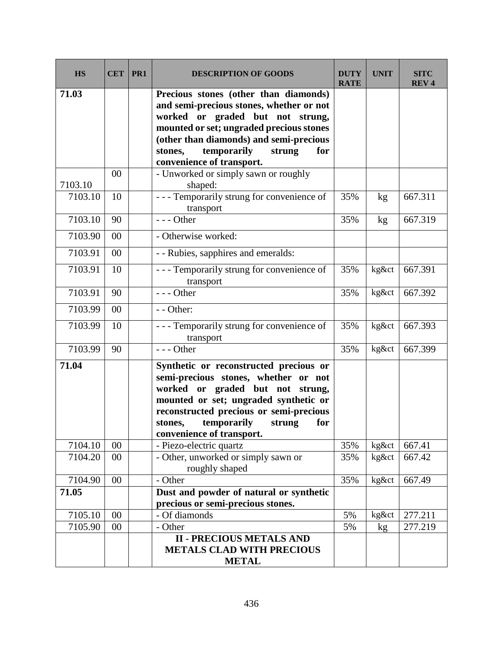| <b>HS</b> | <b>CET</b> | PR1 | <b>DESCRIPTION OF GOODS</b>                                                                                                                                                                                                                                                          | <b>DUTY</b><br><b>RATE</b> | <b>UNIT</b> | <b>SITC</b><br><b>REV4</b> |
|-----------|------------|-----|--------------------------------------------------------------------------------------------------------------------------------------------------------------------------------------------------------------------------------------------------------------------------------------|----------------------------|-------------|----------------------------|
| 71.03     |            |     | Precious stones (other than diamonds)<br>and semi-precious stones, whether or not<br>worked or graded but not strung,<br>mounted or set; ungraded precious stones<br>(other than diamonds) and semi-precious<br>temporarily<br>stones,<br>strung<br>for<br>convenience of transport. |                            |             |                            |
| 7103.10   | 00         |     | - Unworked or simply sawn or roughly<br>shaped:                                                                                                                                                                                                                                      |                            |             |                            |
| 7103.10   | 10         |     | --- Temporarily strung for convenience of<br>transport                                                                                                                                                                                                                               | 35%                        | kg          | 667.311                    |
| 7103.10   | 90         |     | $--$ Other                                                                                                                                                                                                                                                                           | 35%                        | kg          | 667.319                    |
| 7103.90   | 00         |     | - Otherwise worked:                                                                                                                                                                                                                                                                  |                            |             |                            |
| 7103.91   | 00         |     | - - Rubies, sapphires and emeralds:                                                                                                                                                                                                                                                  |                            |             |                            |
| 7103.91   | 10         |     | --- Temporarily strung for convenience of<br>transport                                                                                                                                                                                                                               | 35%                        | kg&ct       | 667.391                    |
| 7103.91   | 90         |     | --- Other                                                                                                                                                                                                                                                                            | 35%                        | kg&ct       | 667.392                    |
| 7103.99   | 00         |     | - - Other:                                                                                                                                                                                                                                                                           |                            |             |                            |
| 7103.99   | 10         |     | - - - Temporarily strung for convenience of<br>transport                                                                                                                                                                                                                             | 35%                        | kg&ct       | 667.393                    |
| 7103.99   | 90         |     | $--$ Other                                                                                                                                                                                                                                                                           | 35%                        | kg&ct       | 667.399                    |
| 71.04     |            |     | Synthetic or reconstructed precious or<br>semi-precious stones, whether or not<br>worked or graded but not strung,<br>mounted or set; ungraded synthetic or<br>reconstructed precious or semi-precious<br>temporarily<br>for<br>stones,<br>strung<br>convenience of transport.       |                            |             |                            |
| 7104.10   | 00         |     | - Piezo-electric quartz                                                                                                                                                                                                                                                              | 35%                        | kg&ct       | 667.41                     |
| 7104.20   | 00         |     | - Other, unworked or simply sawn or<br>roughly shaped                                                                                                                                                                                                                                | 35%                        | kg&ct       | 667.42                     |
| 7104.90   | 00         |     | - Other                                                                                                                                                                                                                                                                              | 35%                        | kg&ct       | 667.49                     |
| 71.05     |            |     | Dust and powder of natural or synthetic<br>precious or semi-precious stones.                                                                                                                                                                                                         |                            |             |                            |
| 7105.10   | 00         |     | - Of diamonds                                                                                                                                                                                                                                                                        | 5%                         | kg&ct       | 277.211                    |
| 7105.90   | 00         |     | - Other                                                                                                                                                                                                                                                                              | 5%                         | kg          | 277.219                    |
|           |            |     | <b>II - PRECIOUS METALS AND</b><br><b>METALS CLAD WITH PRECIOUS</b><br><b>METAL</b>                                                                                                                                                                                                  |                            |             |                            |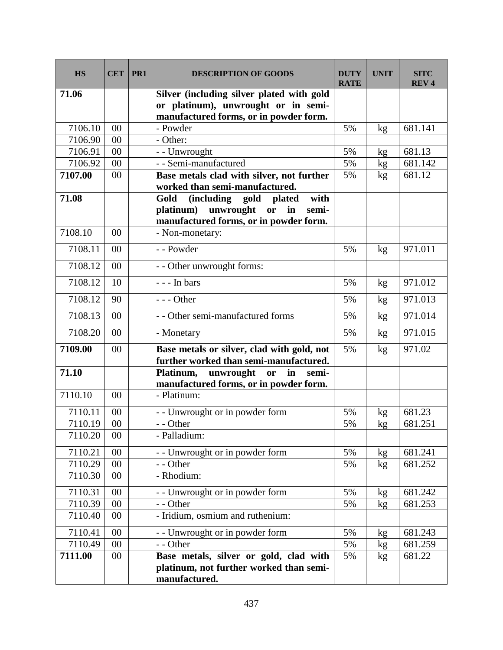| <b>HS</b>          | <b>CET</b> | PR <sub>1</sub> | <b>DESCRIPTION OF GOODS</b>                                                          | <b>DUTY</b><br><b>RATE</b> | <b>UNIT</b> | <b>SITC</b><br>REV <sub>4</sub> |
|--------------------|------------|-----------------|--------------------------------------------------------------------------------------|----------------------------|-------------|---------------------------------|
| 71.06              |            |                 | Silver (including silver plated with gold                                            |                            |             |                                 |
|                    |            |                 | or platinum), unwrought or in semi-                                                  |                            |             |                                 |
|                    |            |                 | manufactured forms, or in powder form.                                               |                            |             |                                 |
| 7106.10            | 00         |                 | - Powder                                                                             | 5%                         | kg          | 681.141                         |
| 7106.90<br>7106.91 | 00         |                 | - Other:                                                                             |                            |             |                                 |
| 7106.92            | 00<br>00   |                 | - - Unwrought<br>- - Semi-manufactured                                               | 5%<br>5%                   | kg          | 681.13<br>681.142               |
| 7107.00            | 00         |                 |                                                                                      | 5%                         | kg          | 681.12                          |
|                    |            |                 | Base metals clad with silver, not further<br>worked than semi-manufactured.          |                            | kg          |                                 |
| 71.08              |            |                 | Gold<br>(including gold<br>with<br>plated                                            |                            |             |                                 |
|                    |            |                 | unwrought<br>platinum)<br>or<br>in<br>semi-                                          |                            |             |                                 |
|                    |            |                 | manufactured forms, or in powder form.                                               |                            |             |                                 |
| 7108.10            | 00         |                 | - Non-monetary:                                                                      |                            |             |                                 |
| 7108.11            | 00         |                 | - - Powder                                                                           | 5%                         | kg          | 971.011                         |
| 7108.12            | 00         |                 | - - Other unwrought forms:                                                           |                            |             |                                 |
| 7108.12            | 10         |                 | $--$ In bars                                                                         | 5%                         | kg          | 971.012                         |
| 7108.12            | 90         |                 | $--$ Other                                                                           | 5%                         | kg          | 971.013                         |
| 7108.13            | 00         |                 | - - Other semi-manufactured forms                                                    | 5%                         | kg          | 971.014                         |
| 7108.20            | 00         |                 | - Monetary                                                                           | 5%                         | kg          | 971.015                         |
| 7109.00            | 00         |                 | Base metals or silver, clad with gold, not<br>further worked than semi-manufactured. | 5%                         | kg          | 971.02                          |
| 71.10              |            |                 | unwrought<br>Platinum,<br>in<br><b>or</b><br>semi-                                   |                            |             |                                 |
|                    |            |                 | manufactured forms, or in powder form.                                               |                            |             |                                 |
| 7110.10            | 00         |                 | - Platinum:                                                                          |                            |             |                                 |
| 7110.11            | 00         |                 | - - Unwrought or in powder form                                                      | 5%                         | kg          | 681.23                          |
| 7110.19            | 00         |                 | - - Other                                                                            | 5%                         | $k$ g       | 681.251                         |
| 7110.20            | 00         |                 | - Palladium:                                                                         |                            |             |                                 |
| 7110.21            | 00         |                 | - - Unwrought or in powder form                                                      | 5%                         | kg          | 681.241                         |
| 7110.29            | 00         |                 | - - Other                                                                            | 5%                         | kg          | 681.252                         |
| 7110.30            | 00         |                 | - Rhodium:                                                                           |                            |             |                                 |
| 7110.31            | 00         |                 | - - Unwrought or in powder form                                                      | 5%                         | kg          | 681.242                         |
| 7110.39            | 00         |                 | - - Other                                                                            | 5%                         | kg          | 681.253                         |
| 7110.40            | 00         |                 | - Iridium, osmium and ruthenium:                                                     |                            |             |                                 |
| 7110.41            | 00         |                 | - - Unwrought or in powder form                                                      | 5%                         | kg          | 681.243                         |
| 7110.49            | 00         |                 | - - Other                                                                            | 5%                         | kg          | 681.259                         |
| 7111.00            | $00\,$     |                 | Base metals, silver or gold, clad with                                               | 5%                         | kg          | 681.22                          |
|                    |            |                 | platinum, not further worked than semi-<br>manufactured.                             |                            |             |                                 |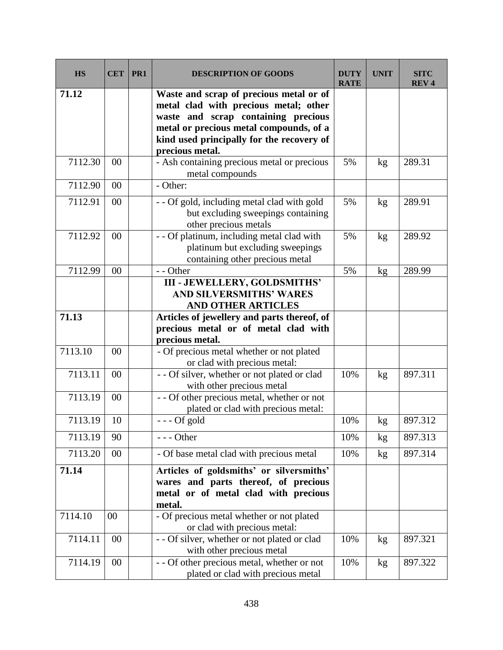| <b>HS</b> | <b>CET</b> | PR <sub>1</sub> | <b>DESCRIPTION OF GOODS</b>                                                                                                                                                                                                        | <b>DUTY</b><br><b>RATE</b> | <b>UNIT</b> | <b>SITC</b><br><b>REV4</b> |
|-----------|------------|-----------------|------------------------------------------------------------------------------------------------------------------------------------------------------------------------------------------------------------------------------------|----------------------------|-------------|----------------------------|
| 71.12     |            |                 | Waste and scrap of precious metal or of<br>metal clad with precious metal; other<br>waste and scrap containing precious<br>metal or precious metal compounds, of a<br>kind used principally for the recovery of<br>precious metal. |                            |             |                            |
| 7112.30   | 00         |                 | - Ash containing precious metal or precious<br>metal compounds                                                                                                                                                                     | 5%                         | kg          | 289.31                     |
| 7112.90   | 00         |                 | - Other:                                                                                                                                                                                                                           |                            |             |                            |
| 7112.91   | 00         |                 | - - Of gold, including metal clad with gold<br>but excluding sweepings containing<br>other precious metals                                                                                                                         | 5%                         | kg          | 289.91                     |
| 7112.92   | 00         |                 | - - Of platinum, including metal clad with<br>platinum but excluding sweepings<br>containing other precious metal                                                                                                                  | 5%                         | kg          | 289.92                     |
| 7112.99   | 00         |                 | - - Other                                                                                                                                                                                                                          | 5%                         | kg          | 289.99                     |
|           |            |                 | <b>III - JEWELLERY, GOLDSMITHS'</b><br><b>AND SILVERSMITHS' WARES</b><br><b>AND OTHER ARTICLES</b>                                                                                                                                 |                            |             |                            |
| 71.13     |            |                 | Articles of jewellery and parts thereof, of<br>precious metal or of metal clad with<br>precious metal.                                                                                                                             |                            |             |                            |
| 7113.10   | 00         |                 | - Of precious metal whether or not plated<br>or clad with precious metal:                                                                                                                                                          |                            |             |                            |
| 7113.11   | 00         |                 | - - Of silver, whether or not plated or clad<br>with other precious metal                                                                                                                                                          | 10%                        | kg          | 897.311                    |
| 7113.19   | 00         |                 | - - Of other precious metal, whether or not<br>plated or clad with precious metal:                                                                                                                                                 |                            |             |                            |
| 7113.19   | 10         |                 | $--$ Of gold                                                                                                                                                                                                                       | 10%                        | kg          | 897.312                    |
| 7113.19   | 90         |                 | --- Other                                                                                                                                                                                                                          | 10%                        | kg          | 897.313                    |
| 7113.20   | 00         |                 | - Of base metal clad with precious metal                                                                                                                                                                                           | 10%                        | kg          | 897.314                    |
| 71.14     |            |                 | Articles of goldsmiths' or silversmiths'<br>wares and parts thereof, of precious<br>metal or of metal clad with precious<br>metal.                                                                                                 |                            |             |                            |
| 7114.10   | 00         |                 | - Of precious metal whether or not plated<br>or clad with precious metal:                                                                                                                                                          |                            |             |                            |
| 7114.11   | 00         |                 | - - Of silver, whether or not plated or clad<br>with other precious metal                                                                                                                                                          | 10%                        | kg          | 897.321                    |
| 7114.19   | 00         |                 | - - Of other precious metal, whether or not<br>plated or clad with precious metal                                                                                                                                                  | 10%                        | kg          | 897.322                    |